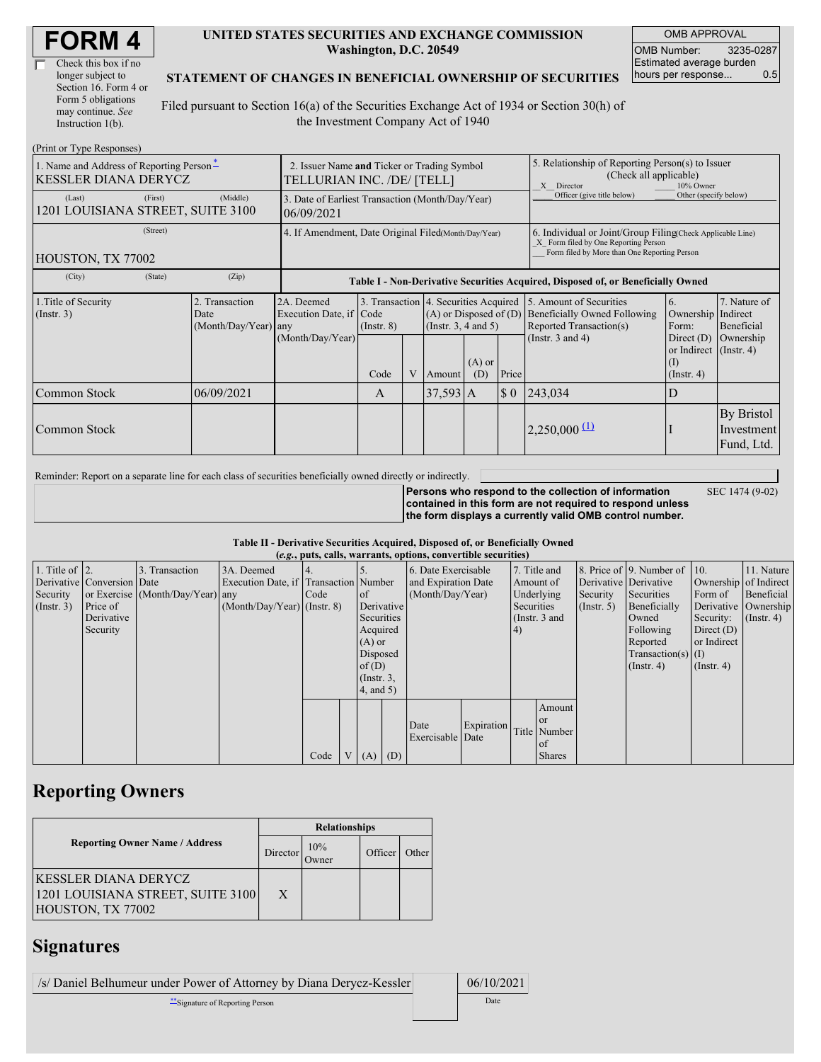| Check this box if no  |
|-----------------------|
| longer subject to     |
| Section 16. Form 4 or |
| Form 5 obligations    |
| may continue. See     |
| Instruction $1(b)$ .  |

#### **UNITED STATES SECURITIES AND EXCHANGE COMMISSION Washington, D.C. 20549**

OMB APPROVAL OMB Number: 3235-0287 Estimated average burden hours per response... 0.5

#### **STATEMENT OF CHANGES IN BENEFICIAL OWNERSHIP OF SECURITIES**

Filed pursuant to Section 16(a) of the Securities Exchange Act of 1934 or Section 30(h) of the Investment Company Act of 1940

| (Print or Type Responses)                                               |                                                                           |                                            |                                                                                  |                 |   |                                                        |                                                                                                                                                    |                       |                                                                                                                          |                                                                   |                                        |
|-------------------------------------------------------------------------|---------------------------------------------------------------------------|--------------------------------------------|----------------------------------------------------------------------------------|-----------------|---|--------------------------------------------------------|----------------------------------------------------------------------------------------------------------------------------------------------------|-----------------------|--------------------------------------------------------------------------------------------------------------------------|-------------------------------------------------------------------|----------------------------------------|
| 1. Name and Address of Reporting Person-<br><b>KESSLER DIANA DERYCZ</b> | 2. Issuer Name and Ticker or Trading Symbol<br>TELLURIAN INC. /DE/ [TELL] |                                            |                                                                                  |                 |   |                                                        | 5. Relationship of Reporting Person(s) to Issuer<br>(Check all applicable)<br>X Director<br>10% Owner                                              |                       |                                                                                                                          |                                                                   |                                        |
| (Last)<br>1201 LOUISIANA STREET, SUITE 3100                             | 3. Date of Earliest Transaction (Month/Day/Year)<br>06/09/2021            |                                            |                                                                                  |                 |   |                                                        | Officer (give title below)                                                                                                                         | Other (specify below) |                                                                                                                          |                                                                   |                                        |
| HOUSTON, TX 77002                                                       | 4. If Amendment, Date Original Filed(Month/Day/Year)                      |                                            |                                                                                  |                 |   |                                                        | 6. Individual or Joint/Group Filing Check Applicable Line)<br>X Form filed by One Reporting Person<br>Form filed by More than One Reporting Person |                       |                                                                                                                          |                                                                   |                                        |
| (City)                                                                  | (State)                                                                   | (Zip)                                      | Table I - Non-Derivative Securities Acquired, Disposed of, or Beneficially Owned |                 |   |                                                        |                                                                                                                                                    |                       |                                                                                                                          |                                                                   |                                        |
| 1. Title of Security<br>$($ Instr. 3 $)$                                |                                                                           | 2. Transaction<br>Date<br>(Month/Day/Year) | 2A. Deemed<br>Execution Date, if Code<br>any                                     | $($ Instr. $8)$ |   | $(A)$ or Disposed of $(D)$<br>(Instr. $3, 4$ and $5$ ) |                                                                                                                                                    |                       | 3. Transaction 4. Securities Acquired 5. Amount of Securities<br>Beneficially Owned Following<br>Reported Transaction(s) | 6.<br>Ownership Indirect<br>Form:                                 | 7. Nature of<br>Beneficial             |
|                                                                         |                                                                           |                                            | (Month/Day/Year)                                                                 | Code            | V | Amount                                                 | $(A)$ or<br>(D)                                                                                                                                    | Price                 | (Instr. $3$ and $4$ )                                                                                                    | Direct $(D)$<br>or Indirect (Instr. 4)<br>(I)<br>$($ Instr. 4 $)$ | Ownership                              |
| Common Stock                                                            |                                                                           | 06/09/2021                                 |                                                                                  | A               |   | $37,593$ A                                             |                                                                                                                                                    | $\sqrt{3}0$           | 243,034                                                                                                                  | D                                                                 |                                        |
| Common Stock                                                            |                                                                           |                                            |                                                                                  |                 |   |                                                        |                                                                                                                                                    |                       | $2,250,000 \frac{11}{2}$                                                                                                 |                                                                   | By Bristol<br>Investment<br>Fund, Ltd. |

Reminder: Report on a separate line for each class of securities beneficially owned directly or indirectly.

SEC 1474 (9-02)

**Persons who respond to the collection of information contained in this form are not required to respond unless the form displays a currently valid OMB control number.**

|  | Table II - Derivative Securities Acquired, Disposed of, or Beneficially Owned |
|--|-------------------------------------------------------------------------------|
|--|-------------------------------------------------------------------------------|

|                        | (e.g., puts, calls, warrants, options, convertible securities) |                                  |                                       |      |              |                               |            |                        |                           |            |               |                       |                              |                  |            |
|------------------------|----------------------------------------------------------------|----------------------------------|---------------------------------------|------|--------------|-------------------------------|------------|------------------------|---------------------------|------------|---------------|-----------------------|------------------------------|------------------|------------|
| 1. Title of $\vert$ 2. |                                                                | 3. Transaction                   | 3A. Deemed                            |      |              |                               |            | 6. Date Exercisable    |                           |            | 7. Title and  |                       | 8. Price of 9. Number of 10. |                  | 11. Nature |
|                        | Derivative Conversion Date                                     |                                  | Execution Date, if Transaction Number |      |              | and Expiration Date           |            |                        | Amount of                 |            |               | Derivative Derivative | Ownership of Indirect        |                  |            |
| Security               |                                                                | or Exercise (Month/Day/Year) any |                                       | Code |              | (Month/Day/Year)<br>$\circ$ f |            | Underlying<br>Security |                           | Securities | Form of       | Beneficial            |                              |                  |            |
| (Insert. 3)            | Price of                                                       |                                  | $(Month/Day/Year)$ (Instr. 8)         |      |              |                               | Derivative |                        | Securities<br>(Insert, 5) |            | Beneficially  |                       | Derivative Ownership         |                  |            |
|                        | Derivative                                                     |                                  |                                       |      |              |                               | Securities |                        | (Instr. $3$ and           |            |               | Owned                 | Security:                    | $($ Instr. 4 $)$ |            |
|                        | Security                                                       |                                  |                                       |      |              | Acquired                      |            |                        |                           | (4)        |               |                       | Following                    | Direct $(D)$     |            |
|                        |                                                                |                                  |                                       |      |              | $(A)$ or                      |            |                        |                           |            |               |                       | Reported                     | or Indirect      |            |
|                        |                                                                |                                  |                                       |      |              | Disposed                      |            |                        |                           |            |               |                       | Transaction(s) $(I)$         |                  |            |
|                        |                                                                |                                  |                                       |      |              | of(D)                         |            |                        |                           |            |               |                       | $($ Instr. 4 $)$             | $($ Instr. 4 $)$ |            |
|                        |                                                                |                                  |                                       |      |              | $($ Instr. $3,$               |            |                        |                           |            |               |                       |                              |                  |            |
|                        |                                                                |                                  |                                       |      |              | 4, and 5)                     |            |                        |                           |            |               |                       |                              |                  |            |
|                        |                                                                |                                  |                                       |      |              |                               |            |                        |                           |            | Amount        |                       |                              |                  |            |
|                        |                                                                |                                  |                                       |      |              |                               |            |                        |                           |            | <sub>or</sub> |                       |                              |                  |            |
|                        |                                                                |                                  |                                       |      |              |                               |            | Date                   | Expiration                |            | Title Number  |                       |                              |                  |            |
|                        |                                                                |                                  |                                       |      |              |                               |            | Exercisable Date       |                           |            | of of         |                       |                              |                  |            |
|                        |                                                                |                                  |                                       | Code | $\mathbf{V}$ | $(A)$ $(D)$                   |            |                        |                           |            | <b>Shares</b> |                       |                              |                  |            |

### **Reporting Owners**

|                                                                                       | <b>Relationships</b> |                     |         |       |  |  |  |
|---------------------------------------------------------------------------------------|----------------------|---------------------|---------|-------|--|--|--|
| <b>Reporting Owner Name / Address</b>                                                 | Director             | 10%<br><b>Jwner</b> | Officer | Other |  |  |  |
| <b>KESSLER DIANA DERYCZ</b><br>1201 LOUISIANA STREET, SUITE 3100<br>HOUSTON, TX 77002 | X                    |                     |         |       |  |  |  |

## **Signatures**

/s/ Daniel Belhumeur under Power of Attorney by Diana Derycz-Kessler 06/10/2021 \*\*Signature of Reporting Person Date Date 2014 1999 and 2014 1999 and 2014 1999 and 2014 1999 and 2014 1999 and 2014 1999 and 2014 1999 and 2014 1999 and 2014 1999 and 2014 1999 and 2014 1999 and 2014 1999 and 2014 1999 an